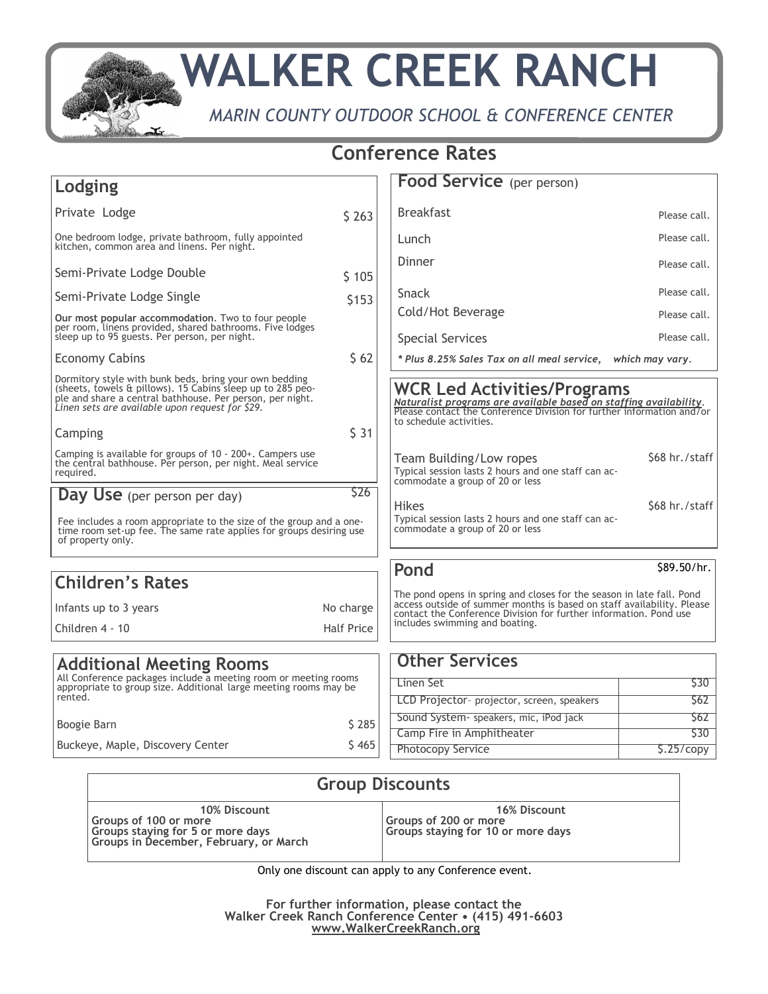

## **WALKER CREEK RANCH**

*MARIN COUNTY OUTDOOR SCHOOL & CONFERENCE CENTER*

## **Conference Rates**

| Lodging                                                                                                                                                                                                                                         |                   | <b>Food Service</b> (per person)                                                                                                                                                                                                                       |                              |
|-------------------------------------------------------------------------------------------------------------------------------------------------------------------------------------------------------------------------------------------------|-------------------|--------------------------------------------------------------------------------------------------------------------------------------------------------------------------------------------------------------------------------------------------------|------------------------------|
| Private Lodge                                                                                                                                                                                                                                   | \$263             | <b>Breakfast</b>                                                                                                                                                                                                                                       | Please call.                 |
| One bedroom lodge, private bathroom, fully appointed<br>kitchen, common area and linens. Per night.                                                                                                                                             |                   | Lunch                                                                                                                                                                                                                                                  | Please call.                 |
| Semi-Private Lodge Double                                                                                                                                                                                                                       |                   | Dinner                                                                                                                                                                                                                                                 | Please call.                 |
|                                                                                                                                                                                                                                                 | \$105             | Snack                                                                                                                                                                                                                                                  | Please call.                 |
| Semi-Private Lodge Single                                                                                                                                                                                                                       | \$153             | Cold/Hot Beverage                                                                                                                                                                                                                                      |                              |
| Our most popular accommodation. Two to four people<br>per room, linens provided, shared bathrooms. Five lodges<br>sleep up to 95 guests. Per person, per night.                                                                                 |                   | <b>Special Services</b>                                                                                                                                                                                                                                | Please call.<br>Please call. |
| <b>Economy Cabins</b>                                                                                                                                                                                                                           | \$62              | * Plus 8.25% Sales Tax on all meal service, which may vary.                                                                                                                                                                                            |                              |
| Dormitory style with bunk beds, bring your own bedding<br>(sheets, towels & pillows). 15 Cabins sleep up to 285 peo-<br>ple and share a central bathhouse. Per person, per night.<br>Linen sets are available upon request for \$29.<br>Camping | \$31              | WCR Led Activities/Programs<br>Naturalist programs are available based on staffing availability.<br>Please contact the Conference Division for further information and/or<br>to schedule activities.                                                   |                              |
|                                                                                                                                                                                                                                                 |                   |                                                                                                                                                                                                                                                        |                              |
| Camping is available for groups of 10 - 200+. Campers use<br>the central bathhouse. Per person, per night. Meal service<br>required.                                                                                                            |                   | Team Building/Low ropes<br>Typical session lasts 2 hours and one staff can ac-<br>commodate a group of 20 or less                                                                                                                                      | \$68 hr./staff               |
| Day Use (per person per day)                                                                                                                                                                                                                    | \$26              | <b>Hikes</b>                                                                                                                                                                                                                                           | \$68 hr./staff               |
| Fee includes a room appropriate to the size of the group and a one-<br>time room set-up fee. The same rate applies for groups desiring use<br>of property only.                                                                                 |                   | Typical session lasts 2 hours and one staff can ac-<br>commodate a group of 20 or less                                                                                                                                                                 |                              |
|                                                                                                                                                                                                                                                 |                   | Pond                                                                                                                                                                                                                                                   | \$89.50/hr.                  |
| <b>Children's Rates</b>                                                                                                                                                                                                                         |                   |                                                                                                                                                                                                                                                        |                              |
| Infants up to 3 years                                                                                                                                                                                                                           | No charge         | The pond opens in spring and closes for the season in late fall. Pond<br>access outside of summer months is based on staff availability. Please<br>contact the Conference Division for further information. Pond use<br>includes swimming and boating. |                              |
| Children 4 - 10                                                                                                                                                                                                                                 | <b>Half Price</b> |                                                                                                                                                                                                                                                        |                              |
|                                                                                                                                                                                                                                                 |                   | <b>Other Services</b>                                                                                                                                                                                                                                  |                              |
| <b>Additional Meeting Rooms</b><br>All Conference packages include a meeting room or meeting rooms                                                                                                                                              |                   |                                                                                                                                                                                                                                                        |                              |
| appropriate to group size. Additional large meeting rooms may be<br>rented.                                                                                                                                                                     |                   | Linen Set<br>LCD Projector- projector, screen, speakers                                                                                                                                                                                                | \$30<br>\$62                 |
|                                                                                                                                                                                                                                                 |                   | Sound System - speakers, mic, iPod jack                                                                                                                                                                                                                | S62                          |
| Boogie Barn                                                                                                                                                                                                                                     | \$285             | Camp Fire in Amphitheater                                                                                                                                                                                                                              | \$30                         |
| Buckeye, Maple, Discovery Center                                                                                                                                                                                                                | \$465             | <b>Photocopy Service</b>                                                                                                                                                                                                                               | \$.25/copy                   |
|                                                                                                                                                                                                                                                 |                   |                                                                                                                                                                                                                                                        |                              |

| <b>Group Discounts</b>                                                                                   |                                                             |  |
|----------------------------------------------------------------------------------------------------------|-------------------------------------------------------------|--|
| 10% Discount                                                                                             | <b>16% Discount</b>                                         |  |
| Groups of 100 or more<br>  Groups staying for 5 or more days<br>  Groups in December, February, or March | Groups of 200 or more<br>Groups staying for 10 or more days |  |

Only one discount can apply to any Conference event.

**For further information, please contact the Walker Creek Ranch Conference Center • (415) 491-6603 www.WalkerCreekRanch.org**